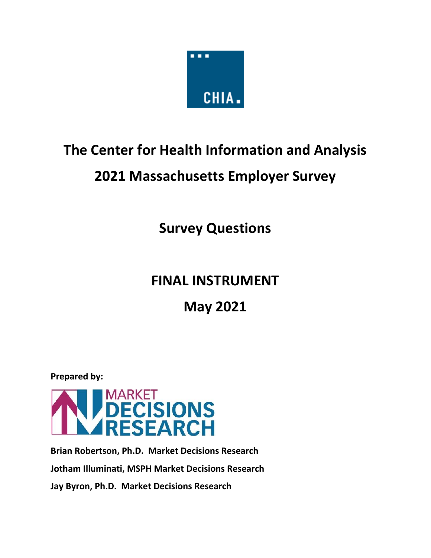

# **The Center for Health Information and Analysis**

# **2021 Massachusetts Employer Survey**

**Survey Questions**

# **FINAL INSTRUMENT**

**May 2021**

**Prepared by:**



**Brian Robertson, Ph.D. Market Decisions Research Jotham Illuminati, MSPH Market Decisions Research Jay Byron, Ph.D. Market Decisions Research**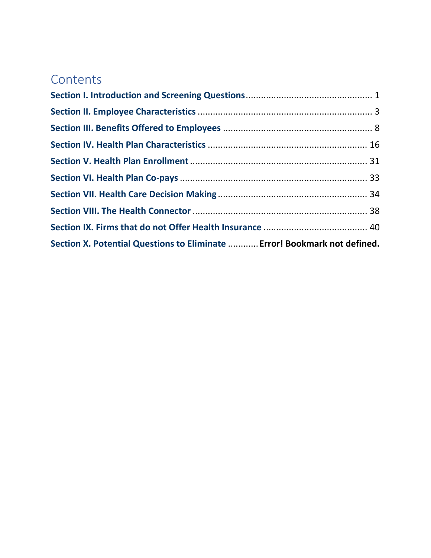# **Contents**

| Section X. Potential Questions to Eliminate  Error! Bookmark not defined. |  |
|---------------------------------------------------------------------------|--|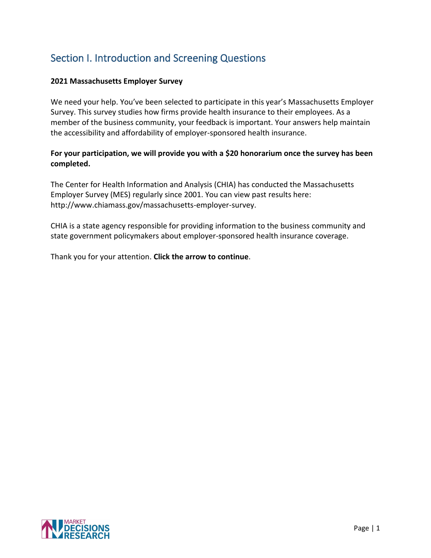# <span id="page-2-0"></span>Section I. Introduction and Screening Questions

# **2021 Massachusetts Employer Survey**

We need your help. You've been selected to participate in this year's Massachusetts Employer Survey. This survey studies how firms provide health insurance to their employees. As a member of the business community, your feedback is important. Your answers help maintain the accessibility and affordability of employer-sponsored health insurance.

# **For your participation, we will provide you with a \$20 honorarium once the survey has been completed.**

The Center for Health Information and Analysis (CHIA) has conducted the Massachusetts Employer Survey (MES) regularly since 2001. You can view past results here: http://www.chiamass.gov/massachusetts-employer-survey.

CHIA is a state agency responsible for providing information to the business community and state government policymakers about employer-sponsored health insurance coverage.

Thank you for your attention. **Click the arrow to continue**.

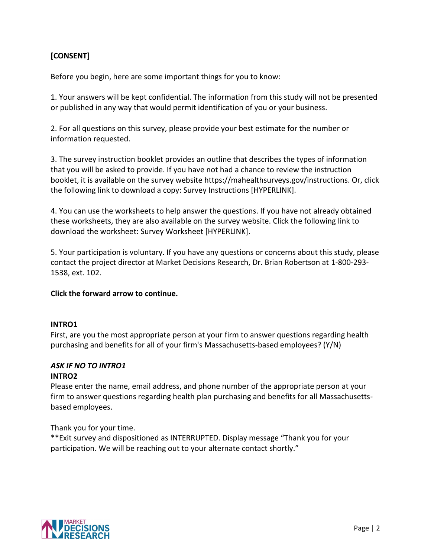# **[CONSENT]**

Before you begin, here are some important things for you to know:

1. Your answers will be kept confidential. The information from this study will not be presented or published in any way that would permit identification of you or your business.

2. For all questions on this survey, please provide your best estimate for the number or information requested.

3. The survey instruction booklet provides an outline that describes the types of information that you will be asked to provide. If you have not had a chance to review the instruction booklet, it is available on the survey website https://mahealthsurveys.gov/instructions. Or, click the following link to download a copy: Survey Instructions [HYPERLINK].

4. You can use the worksheets to help answer the questions. If you have not already obtained these worksheets, they are also available on the survey website. Click the following link to download the worksheet: Survey Worksheet [HYPERLINK].

5. Your participation is voluntary. If you have any questions or concerns about this study, please contact the project director at Market Decisions Research, Dr. Brian Robertson at 1-800-293- 1538, ext. 102.

#### **Click the forward arrow to continue.**

#### **INTRO1**

First, are you the most appropriate person at your firm to answer questions regarding health purchasing and benefits for all of your firm's Massachusetts-based employees? (Y/N)

#### *ASK IF NO TO INTRO1* **INTRO2**

Please enter the name, email address, and phone number of the appropriate person at your firm to answer questions regarding health plan purchasing and benefits for all Massachusettsbased employees.

Thank you for your time.

\*\*Exit survey and dispositioned as INTERRUPTED. Display message "Thank you for your participation. We will be reaching out to your alternate contact shortly."

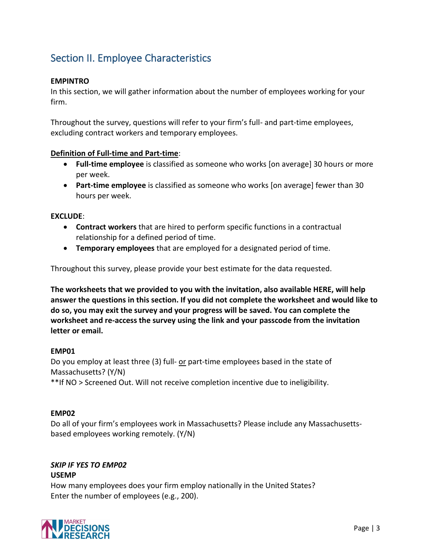# <span id="page-4-0"></span>Section II. Employee Characteristics

#### **EMPINTRO**

In this section, we will gather information about the number of employees working for your firm.

Throughout the survey, questions will refer to your firm's full- and part-time employees, excluding contract workers and temporary employees.

#### **Definition of Full-time and Part-time**:

- **Full-time employee** is classified as someone who works [on average] 30 hours or more per week.
- **Part-time employee** is classified as someone who works [on average] fewer than 30 hours per week.

#### **EXCLUDE**:

- **Contract workers** that are hired to perform specific functions in a contractual relationship for a defined period of time.
- **Temporary employees** that are employed for a designated period of time.

Throughout this survey, please provide your best estimate for the data requested.

**The worksheets that we provided to you with the invitation, also available HERE, will help answer the questions in this section. If you did not complete the worksheet and would like to do so, you may exit the survey and your progress will be saved. You can complete the worksheet and re-access the survey using the link and your passcode from the invitation letter or email.**

#### **EMP01**

Do you employ at least three (3) full- or part-time employees based in the state of Massachusetts? (Y/N) \*\*If NO > Screened Out. Will not receive completion incentive due to ineligibility.

#### **EMP02**

Do all of your firm's employees work in Massachusetts? Please include any Massachusettsbased employees working remotely. (Y/N)

#### *SKIP IF YES TO EMP02*

#### **USEMP**

How many employees does your firm employ nationally in the United States? Enter the number of employees (e.g., 200).

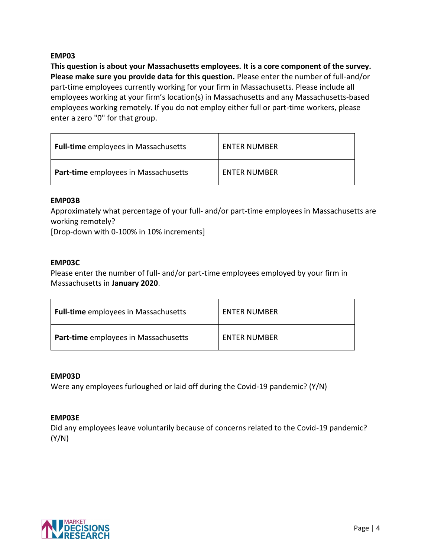#### **EMP03**

**This question is about your Massachusetts employees. It is a core component of the survey. Please make sure you provide data for this question.** Please enter the number of full-and/or part-time employees currently working for your firm in Massachusetts. Please include all employees working at your firm's location(s) in Massachusetts and any Massachusetts-based employees working remotely. If you do not employ either full or part-time workers, please enter a zero "0" for that group.

| <b>Full-time</b> employees in Massachusetts | <b>ENTER NUMBER</b> |
|---------------------------------------------|---------------------|
| <b>Part-time</b> employees in Massachusetts | <b>ENTER NUMBER</b> |

#### **EMP03B**

Approximately what percentage of your full- and/or part-time employees in Massachusetts are working remotely?

[Drop-down with 0-100% in 10% increments]

#### **EMP03C**

Please enter the number of full- and/or part-time employees employed by your firm in Massachusetts in **January 2020**.

| <b>Full-time</b> employees in Massachusetts | ENTER NUMBER        |  |
|---------------------------------------------|---------------------|--|
| <b>Part-time</b> employees in Massachusetts | <b>ENTER NUMBER</b> |  |

#### **EMP03D**

Were any employees furloughed or laid off during the Covid-19 pandemic? (Y/N)

#### **EMP03E**

Did any employees leave voluntarily because of concerns related to the Covid-19 pandemic? (Y/N)

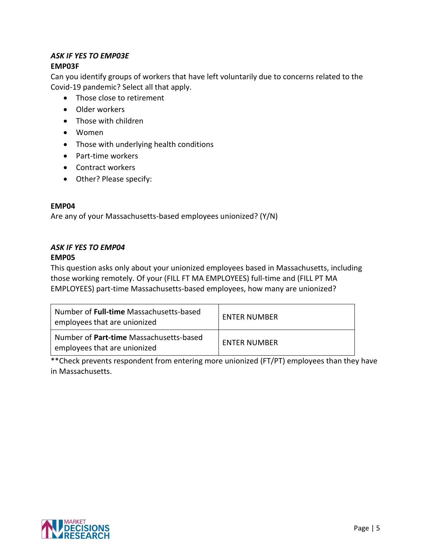#### *ASK IF YES TO EMP03E* **EMP03F**

Can you identify groups of workers that have left voluntarily due to concerns related to the Covid-19 pandemic? Select all that apply.

- Those close to retirement
- Older workers
- Those with children
- Women
- Those with underlying health conditions
- Part-time workers
- Contract workers
- Other? Please specify:

#### **EMP04**

Are any of your Massachusetts-based employees unionized? (Y/N)

# *ASK IF YES TO EMP04*

# **EMP05**

This question asks only about your unionized employees based in Massachusetts, including those working remotely. Of your (FILL FT MA EMPLOYEES) full-time and (FILL PT MA EMPLOYEES) part-time Massachusetts-based employees, how many are unionized?

| Number of <b>Full-time</b> Massachusetts-based<br>employees that are unionized | <b>ENTER NUMBER</b> |  |
|--------------------------------------------------------------------------------|---------------------|--|
| Number of Part-time Massachusetts-based<br>employees that are unionized        | <b>ENTER NUMBER</b> |  |

\*\*Check prevents respondent from entering more unionized (FT/PT) employees than they have in Massachusetts.

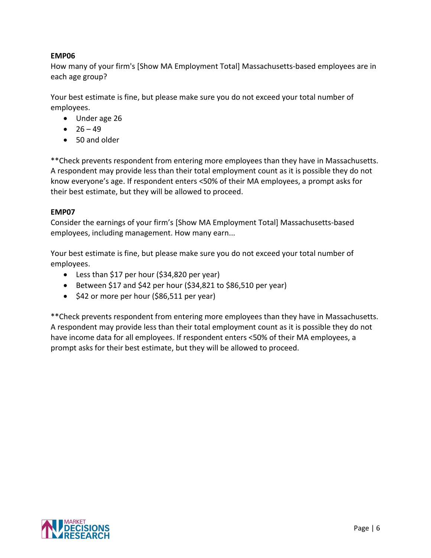# **EMP06**

How many of your firm's [Show MA Employment Total] Massachusetts-based employees are in each age group?

Your best estimate is fine, but please make sure you do not exceed your total number of employees.

- Under age 26
- $26 49$
- 50 and older

\*\*Check prevents respondent from entering more employees than they have in Massachusetts. A respondent may provide less than their total employment count as it is possible they do not know everyone's age. If respondent enters <50% of their MA employees, a prompt asks for their best estimate, but they will be allowed to proceed.

# **EMP07**

Consider the earnings of your firm's [Show MA Employment Total] Massachusetts-based employees, including management. How many earn...

Your best estimate is fine, but please make sure you do not exceed your total number of employees.

- Less than \$17 per hour (\$34,820 per year)
- Between \$17 and \$42 per hour  $(534,821$  to \$86,510 per year)
- \$42 or more per hour (\$86,511 per year)

\*\*Check prevents respondent from entering more employees than they have in Massachusetts. A respondent may provide less than their total employment count as it is possible they do not have income data for all employees. If respondent enters <50% of their MA employees, a prompt asks for their best estimate, but they will be allowed to proceed.

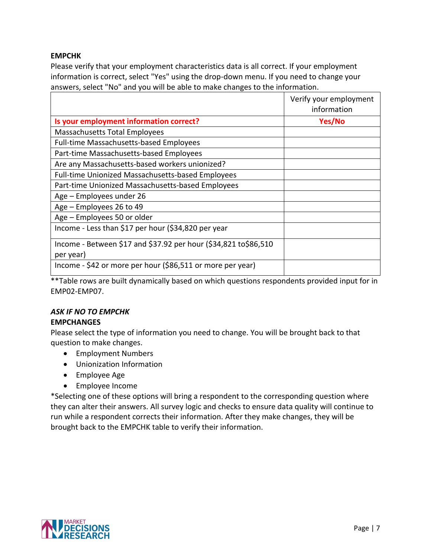### **EMPCHK**

Please verify that your employment characteristics data is all correct. If your employment information is correct, select "Yes" using the drop-down menu. If you need to change your answers, select "No" and you will be able to make changes to the information.

|                                                                 | Verify your employment<br>information |
|-----------------------------------------------------------------|---------------------------------------|
| Is your employment information correct?                         | Yes/No                                |
| Massachusetts Total Employees                                   |                                       |
| Full-time Massachusetts-based Employees                         |                                       |
| Part-time Massachusetts-based Employees                         |                                       |
| Are any Massachusetts-based workers unionized?                  |                                       |
| Full-time Unionized Massachusetts-based Employees               |                                       |
| Part-time Unionized Massachusetts-based Employees               |                                       |
| Age - Employees under 26                                        |                                       |
| Age - Employees 26 to 49                                        |                                       |
| Age - Employees 50 or older                                     |                                       |
| Income - Less than \$17 per hour (\$34,820 per year             |                                       |
| Income - Between \$17 and \$37.92 per hour (\$34,821 to\$86,510 |                                       |
| per year)                                                       |                                       |
| Income - \$42 or more per hour (\$86,511 or more per year)      |                                       |

\*\*Table rows are built dynamically based on which questions respondents provided input for in EMP02-EMP07.

# *ASK IF NO TO EMPCHK*

# **EMPCHANGES**

Please select the type of information you need to change. You will be brought back to that question to make changes.

- Employment Numbers
- Unionization Information
- Employee Age
- Employee Income

\*Selecting one of these options will bring a respondent to the corresponding question where they can alter their answers. All survey logic and checks to ensure data quality will continue to run while a respondent corrects their information. After they make changes, they will be brought back to the EMPCHK table to verify their information.

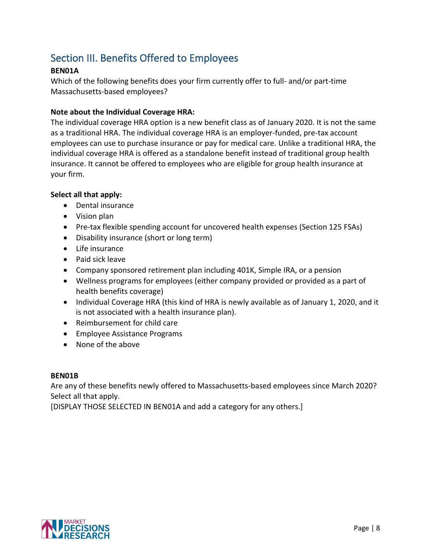# <span id="page-9-0"></span>Section III. Benefits Offered to Employees

# **BEN01A**

Which of the following benefits does your firm currently offer to full- and/or part-time Massachusetts-based employees?

### **Note about the Individual Coverage HRA:**

The individual coverage HRA option is a new benefit class as of January 2020. It is not the same as a traditional HRA. The individual coverage HRA is an employer-funded, pre-tax account employees can use to purchase insurance or pay for medical care. Unlike a traditional HRA, the individual coverage HRA is offered as a standalone benefit instead of traditional group health insurance. It cannot be offered to employees who are eligible for group health insurance at your firm.

#### **Select all that apply:**

- Dental insurance
- Vision plan
- Pre-tax flexible spending account for uncovered health expenses (Section 125 FSAs)
- Disability insurance (short or long term)
- Life insurance
- Paid sick leave
- Company sponsored retirement plan including 401K, Simple IRA, or a pension
- Wellness programs for employees (either company provided or provided as a part of health benefits coverage)
- Individual Coverage HRA (this kind of HRA is newly available as of January 1, 2020, and it is not associated with a health insurance plan).
- Reimbursement for child care
- Employee Assistance Programs
- None of the above

#### **BEN01B**

Are any of these benefits newly offered to Massachusetts-based employees since March 2020? Select all that apply.

[DISPLAY THOSE SELECTED IN BEN01A and add a category for any others.]

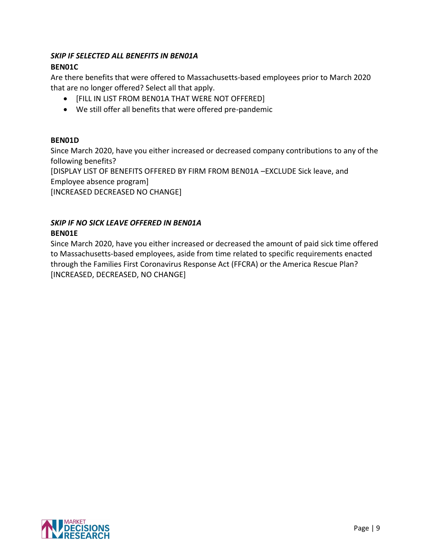# *SKIP IF SELECTED ALL BENEFITS IN BEN01A*

# **BEN01C**

Are there benefits that were offered to Massachusetts-based employees prior to March 2020 that are no longer offered? Select all that apply.

- [FILL IN LIST FROM BEN01A THAT WERE NOT OFFERED]
- We still offer all benefits that were offered pre-pandemic

# **BEN01D**

Since March 2020, have you either increased or decreased company contributions to any of the following benefits? [DISPLAY LIST OF BENEFITS OFFERED BY FIRM FROM BEN01A –EXCLUDE Sick leave, and

Employee absence program]

[INCREASED DECREASED NO CHANGE]

# *SKIP IF NO SICK LEAVE OFFERED IN BEN01A*

# **BEN01E**

Since March 2020, have you either increased or decreased the amount of paid sick time offered to Massachusetts-based employees, aside from time related to specific requirements enacted through the Families First Coronavirus Response Act (FFCRA) or the America Rescue Plan? [INCREASED, DECREASED, NO CHANGE]

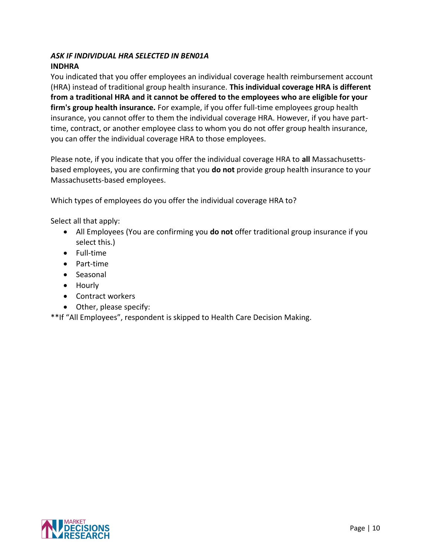# *ASK IF INDIVIDUAL HRA SELECTED IN BEN01A* **INDHRA**

You indicated that you offer employees an individual coverage health reimbursement account (HRA) instead of traditional group health insurance. **This individual coverage HRA is different from a traditional HRA and it cannot be offered to the employees who are eligible for your firm's group health insurance.** For example, if you offer full-time employees group health insurance, you cannot offer to them the individual coverage HRA. However, if you have parttime, contract, or another employee class to whom you do not offer group health insurance, you can offer the individual coverage HRA to those employees.

Please note, if you indicate that you offer the individual coverage HRA to **all** Massachusettsbased employees, you are confirming that you **do not** provide group health insurance to your Massachusetts-based employees.

Which types of employees do you offer the individual coverage HRA to?

Select all that apply:

- All Employees (You are confirming you **do not** offer traditional group insurance if you select this.)
- Full-time
- Part-time
- Seasonal
- Hourly
- Contract workers
- Other, please specify:

\*\*If "All Employees", respondent is skipped to Health Care Decision Making.

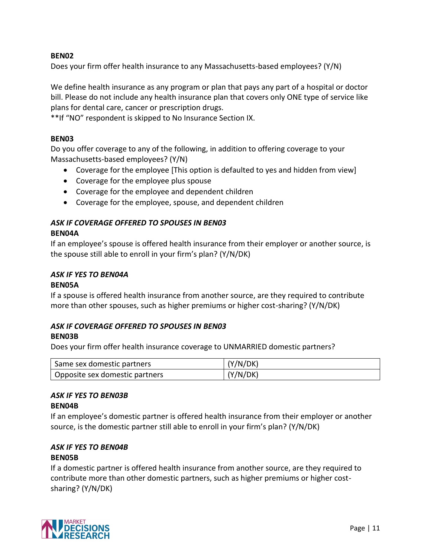#### **BEN02**

Does your firm offer health insurance to any Massachusetts-based employees? (Y/N)

We define health insurance as any program or plan that pays any part of a hospital or doctor bill. Please do not include any health insurance plan that covers only ONE type of service like plans for dental care, cancer or prescription drugs.

\*\*If "NO" respondent is skipped to No Insurance Section IX.

#### **BEN03**

Do you offer coverage to any of the following, in addition to offering coverage to your Massachusetts-based employees? (Y/N)

- Coverage for the employee [This option is defaulted to yes and hidden from view]
- Coverage for the employee plus spouse
- Coverage for the employee and dependent children
- Coverage for the employee, spouse, and dependent children

# *ASK IF COVERAGE OFFERED TO SPOUSES IN BEN03*

#### **BEN04A**

If an employee's spouse is offered health insurance from their employer or another source, is the spouse still able to enroll in your firm's plan? (Y/N/DK)

# *ASK IF YES TO BEN04A*

#### **BEN05A**

If a spouse is offered health insurance from another source, are they required to contribute more than other spouses, such as higher premiums or higher cost-sharing? (Y/N/DK)

# *ASK IF COVERAGE OFFERED TO SPOUSES IN BEN03*

# **BEN03B**

Does your firm offer health insurance coverage to UNMARRIED domestic partners?

| Same sex domestic partners     | (Y/N/DK) |
|--------------------------------|----------|
| Opposite sex domestic partners | (Y/N/DK) |

# *ASK IF YES TO BEN03B*

#### **BEN04B**

If an employee's domestic partner is offered health insurance from their employer or another source, is the domestic partner still able to enroll in your firm's plan? (Y/N/DK)

#### *ASK IF YES TO BEN04B* **BEN05B**

If a domestic partner is offered health insurance from another source, are they required to contribute more than other domestic partners, such as higher premiums or higher costsharing? (Y/N/DK)

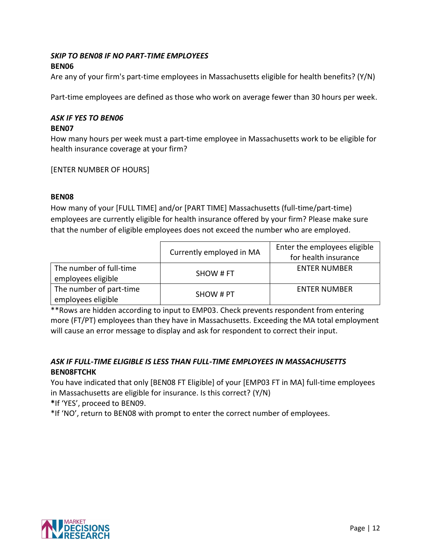# *SKIP TO BEN08 IF NO PART-TIME EMPLOYEES* **BEN06**

Are any of your firm's part-time employees in Massachusetts eligible for health benefits? (Y/N)

Part-time employees are defined as those who work on average fewer than 30 hours per week.

#### *ASK IF YES TO BEN06* **BEN07**

How many hours per week must a part-time employee in Massachusetts work to be eligible for health insurance coverage at your firm?

[ENTER NUMBER OF HOURS]

#### **BEN08**

How many of your [FULL TIME] and/or [PART TIME] Massachusetts (full-time/part-time) employees are currently eligible for health insurance offered by your firm? Please make sure that the number of eligible employees does not exceed the number who are employed.

|                                               | Currently employed in MA | Enter the employees eligible<br>for health insurance |
|-----------------------------------------------|--------------------------|------------------------------------------------------|
| The number of full-time<br>employees eligible | SHOW # FT                | <b>ENTER NUMBER</b>                                  |
| The number of part-time<br>employees eligible | SHOW # PT                | <b>ENTER NUMBER</b>                                  |

\*\*Rows are hidden according to input to EMP03. Check prevents respondent from entering more (FT/PT) employees than they have in Massachusetts. Exceeding the MA total employment will cause an error message to display and ask for respondent to correct their input.

# *ASK IF FULL-TIME ELIGIBLE IS LESS THAN FULL-TIME EMPLOYEES IN MASSACHUSETTS* **BEN08FTCHK**

You have indicated that only [BEN08 FT Eligible] of your [EMP03 FT in MA] full-time employees in Massachusetts are eligible for insurance. Is this correct? (Y/N)

**\***If 'YES', proceed to BEN09.

\*If 'NO', return to BEN08 with prompt to enter the correct number of employees.

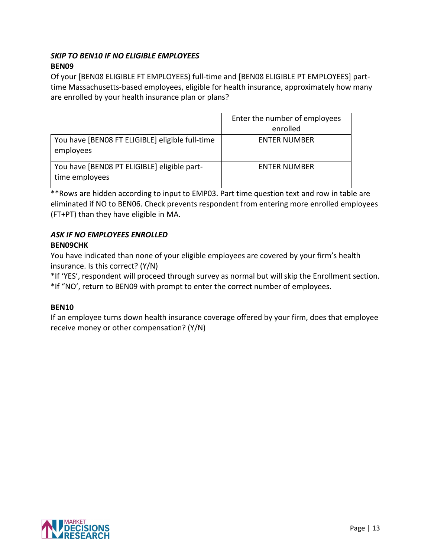# *SKIP TO BEN10 IF NO ELIGIBLE EMPLOYEES* **BEN09**

Of your [BEN08 ELIGIBLE FT EMPLOYEES) full-time and [BEN08 ELIGIBLE PT EMPLOYEES] parttime Massachusetts-based employees, eligible for health insurance, approximately how many are enrolled by your health insurance plan or plans?

|                                                               | Enter the number of employees |
|---------------------------------------------------------------|-------------------------------|
|                                                               | enrolled                      |
| You have [BENO8 FT ELIGIBLE] eligible full-time<br>employees  | <b>ENTER NUMBER</b>           |
| You have [BENO8 PT ELIGIBLE] eligible part-<br>time employees | <b>ENTER NUMBER</b>           |

\*\*Rows are hidden according to input to EMP03. Part time question text and row in table are eliminated if NO to BEN06. Check prevents respondent from entering more enrolled employees (FT+PT) than they have eligible in MA.

# *ASK IF NO EMPLOYEES ENROLLED* **BEN09CHK**

You have indicated than none of your eligible employees are covered by your firm's health insurance. Is this correct? (Y/N)

\*If 'YES', respondent will proceed through survey as normal but will skip the Enrollment section. \*If "NO', return to BEN09 with prompt to enter the correct number of employees.

# **BEN10**

If an employee turns down health insurance coverage offered by your firm, does that employee receive money or other compensation? (Y/N)

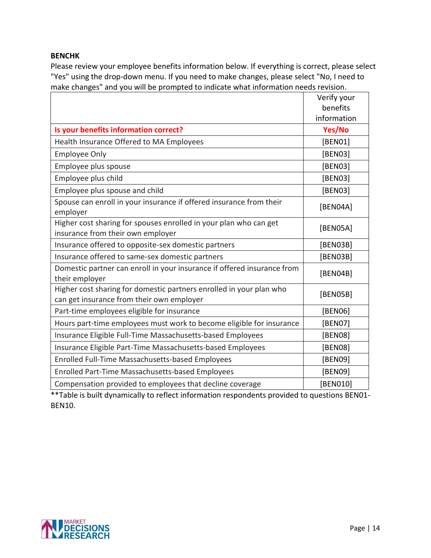#### **BENCHK**

Please review your employee benefits information below. If everything is correct, please select "Yes" using the drop-down menu. If you need to make changes, please select "No, I need to make changes" and you will be prompted to indicate what information needs revision.

|                                                                                                                  | Verify your |
|------------------------------------------------------------------------------------------------------------------|-------------|
|                                                                                                                  | benefits    |
|                                                                                                                  | information |
| Is your benefits information correct?                                                                            | Yes/No      |
| Health Insurance Offered to MA Employees                                                                         | [BEN01]     |
| <b>Employee Only</b>                                                                                             | [BEN03]     |
| Employee plus spouse                                                                                             | [BEN03]     |
| Employee plus child                                                                                              | [BEN03]     |
| Employee plus spouse and child                                                                                   | [BEN03]     |
| Spouse can enroll in your insurance if offered insurance from their<br>employer                                  | [BEN04A]    |
| Higher cost sharing for spouses enrolled in your plan who can get<br>insurance from their own employer           | [BEN05A]    |
| Insurance offered to opposite-sex domestic partners                                                              | [BEN03B]    |
| Insurance offered to same-sex domestic partners                                                                  | [BEN03B]    |
| Domestic partner can enroll in your insurance if offered insurance from<br>their employer                        | [BEN04B]    |
| Higher cost sharing for domestic partners enrolled in your plan who<br>can get insurance from their own employer | [BEN05B]    |
| Part-time employees eligible for insurance                                                                       | [BEN06]     |
| Hours part-time employees must work to become eligible for insurance                                             | [BEN07]     |
| Insurance Eligible Full-Time Massachusetts-based Employees                                                       | [BEN08]     |
| Insurance Eligible Part-Time Massachusetts-based Employees                                                       | [BEN08]     |
| Enrolled Full-Time Massachusetts-based Employees                                                                 | [BEN09]     |
| <b>Enrolled Part-Time Massachusetts-based Employees</b>                                                          | [BEN09]     |
| Compensation provided to employees that decline coverage                                                         | [BEN010]    |

\*\*Table is built dynamically to reflect information respondents provided to questions BEN01- BEN10.

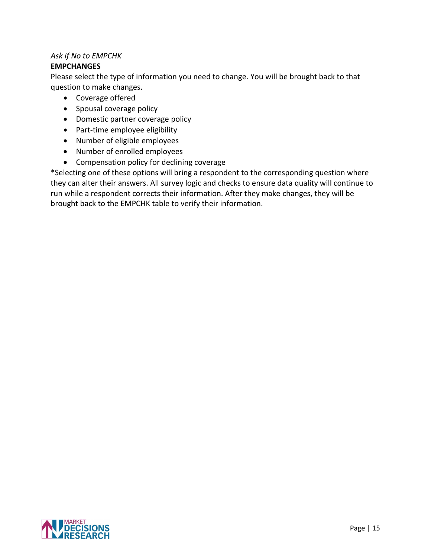# *Ask if No to EMPCHK*

# **EMPCHANGES**

Please select the type of information you need to change. You will be brought back to that question to make changes.

- Coverage offered
- Spousal coverage policy
- Domestic partner coverage policy
- Part-time employee eligibility
- Number of eligible employees
- Number of enrolled employees
- Compensation policy for declining coverage

\*Selecting one of these options will bring a respondent to the corresponding question where they can alter their answers. All survey logic and checks to ensure data quality will continue to run while a respondent corrects their information. After they make changes, they will be brought back to the EMPCHK table to verify their information.

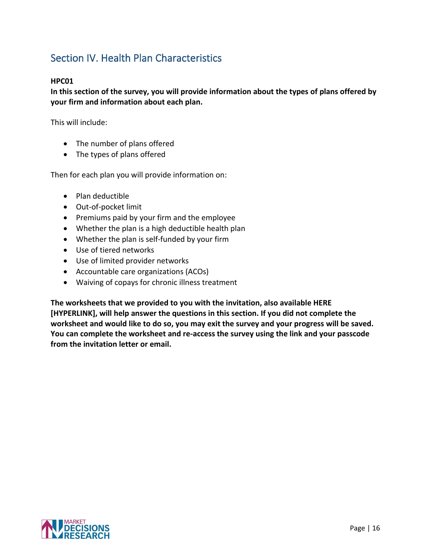# <span id="page-17-0"></span>Section IV. Health Plan Characteristics

# **HPC01**

**In this section of the survey, you will provide information about the types of plans offered by your firm and information about each plan.** 

This will include:

- The number of plans offered
- The types of plans offered

Then for each plan you will provide information on:

- Plan deductible
- Out-of-pocket limit
- Premiums paid by your firm and the employee
- Whether the plan is a high deductible health plan
- Whether the plan is self-funded by your firm
- Use of tiered networks
- Use of limited provider networks
- Accountable care organizations (ACOs)
- Waiving of copays for chronic illness treatment

**The worksheets that we provided to you with the invitation, also available HERE [HYPERLINK], will help answer the questions in this section. If you did not complete the worksheet and would like to do so, you may exit the survey and your progress will be saved. You can complete the worksheet and re-access the survey using the link and your passcode from the invitation letter or email.**

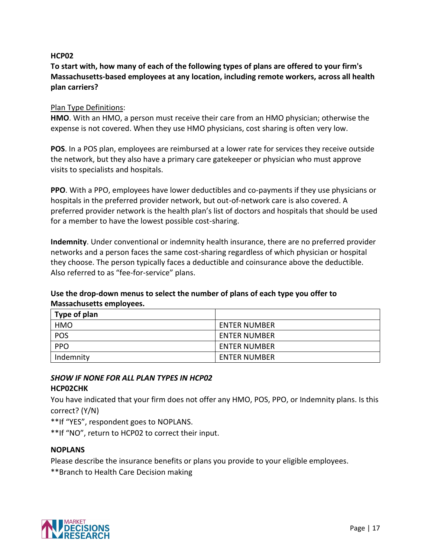#### **HCP02**

# **To start with, how many of each of the following types of plans are offered to your firm's Massachusetts-based employees at any location, including remote workers, across all health plan carriers?**

#### Plan Type Definitions:

**HMO**. With an HMO, a person must receive their care from an HMO physician; otherwise the expense is not covered. When they use HMO physicians, cost sharing is often very low.

**POS**. In a POS plan, employees are reimbursed at a lower rate for services they receive outside the network, but they also have a primary care gatekeeper or physician who must approve visits to specialists and hospitals.

**PPO**. With a PPO, employees have lower deductibles and co-payments if they use physicians or hospitals in the preferred provider network, but out-of-network care is also covered. A preferred provider network is the health plan's list of doctors and hospitals that should be used for a member to have the lowest possible cost-sharing.

**Indemnity**. Under conventional or indemnity health insurance, there are no preferred provider networks and a person faces the same cost-sharing regardless of which physician or hospital they choose. The person typically faces a deductible and coinsurance above the deductible. Also referred to as "fee-for-service" plans.

# **Use the drop-down menus to select the number of plans of each type you offer to Massachusetts employees.**

| Type of plan |                     |
|--------------|---------------------|
| <b>HMO</b>   | <b>ENTER NUMBER</b> |
| POS          | <b>ENTER NUMBER</b> |
| <b>PPO</b>   | <b>ENTER NUMBER</b> |
| Indemnity    | <b>ENTER NUMBER</b> |

#### *SHOW IF NONE FOR ALL PLAN TYPES IN HCP02* **HCP02CHK**

You have indicated that your firm does not offer any HMO, POS, PPO, or Indemnity plans. Is this correct? (Y/N)

\*\*If "YES", respondent goes to NOPLANS.

\*\*If "NO", return to HCP02 to correct their input.

#### **NOPLANS**

Please describe the insurance benefits or plans you provide to your eligible employees.

\*\*Branch to Health Care Decision making

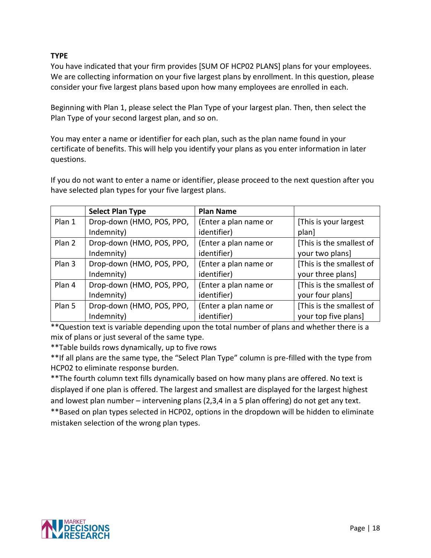# **TYPE**

You have indicated that your firm provides [SUM OF HCP02 PLANS] plans for your employees. We are collecting information on your five largest plans by enrollment. In this question, please consider your five largest plans based upon how many employees are enrolled in each.

Beginning with Plan 1, please select the Plan Type of your largest plan. Then, then select the Plan Type of your second largest plan, and so on.

You may enter a name or identifier for each plan, such as the plan name found in your certificate of benefits. This will help you identify your plans as you enter information in later questions.

If you do not want to enter a name or identifier, please proceed to the next question after you have selected plan types for your five largest plans.

|        | <b>Select Plan Type</b>   | <b>Plan Name</b>      |                          |
|--------|---------------------------|-----------------------|--------------------------|
| Plan 1 | Drop-down (HMO, POS, PPO, | (Enter a plan name or | [This is your largest    |
|        | Indemnity)                | identifier)           | plan]                    |
| Plan 2 | Drop-down (HMO, POS, PPO, | (Enter a plan name or | [This is the smallest of |
|        | Indemnity)                | identifier)           | your two plans]          |
| Plan 3 | Drop-down (HMO, POS, PPO, | (Enter a plan name or | [This is the smallest of |
|        | Indemnity)                | identifier)           | your three plans]        |
| Plan 4 | Drop-down (HMO, POS, PPO, | (Enter a plan name or | [This is the smallest of |
|        | Indemnity)                | identifier)           | your four plans]         |
| Plan 5 | Drop-down (HMO, POS, PPO, | (Enter a plan name or | [This is the smallest of |
|        | Indemnity)                | identifier)           | your top five plans]     |

\*\*Question text is variable depending upon the total number of plans and whether there is a mix of plans or just several of the same type.

\*\*Table builds rows dynamically, up to five rows

\*\*If all plans are the same type, the "Select Plan Type" column is pre-filled with the type from HCP02 to eliminate response burden.

\*\*The fourth column text fills dynamically based on how many plans are offered. No text is displayed if one plan is offered. The largest and smallest are displayed for the largest highest and lowest plan number – intervening plans (2,3,4 in a 5 plan offering) do not get any text.

\*\*Based on plan types selected in HCP02, options in the dropdown will be hidden to eliminate mistaken selection of the wrong plan types.

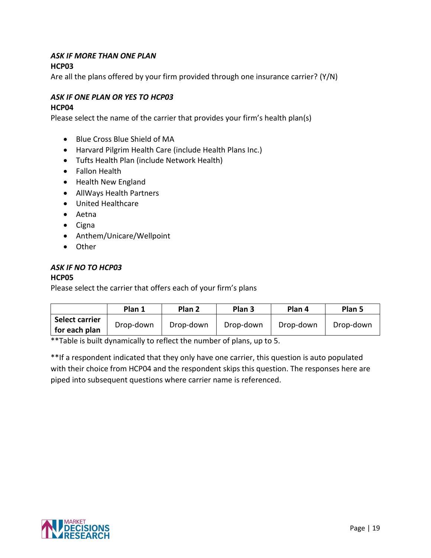# *ASK IF MORE THAN ONE PLAN*

# **HCP03**

Are all the plans offered by your firm provided through one insurance carrier? (Y/N)

# *ASK IF ONE PLAN OR YES TO HCP03*

### **HCP04**

Please select the name of the carrier that provides your firm's health plan(s)

- Blue Cross Blue Shield of MA
- Harvard Pilgrim Health Care (include Health Plans Inc.)
- Tufts Health Plan (include Network Health)
- Fallon Health
- Health New England
- AllWays Health Partners
- United Healthcare
- Aetna
- Cigna
- Anthem/Unicare/Wellpoint
- Other

# *ASK IF NO TO HCP03*

# **HCP05**

Please select the carrier that offers each of your firm's plans

|                                 | Plan 1    | Plan 2    | Plan <sub>3</sub> | Plan 4    | Plan 5    |
|---------------------------------|-----------|-----------|-------------------|-----------|-----------|
| Select carrier<br>for each plan | Drop-down | Drop-down | Drop-down         | Drop-down | Drop-down |

\*\*Table is built dynamically to reflect the number of plans, up to 5.

\*\*If a respondent indicated that they only have one carrier, this question is auto populated with their choice from HCP04 and the respondent skips this question. The responses here are piped into subsequent questions where carrier name is referenced.

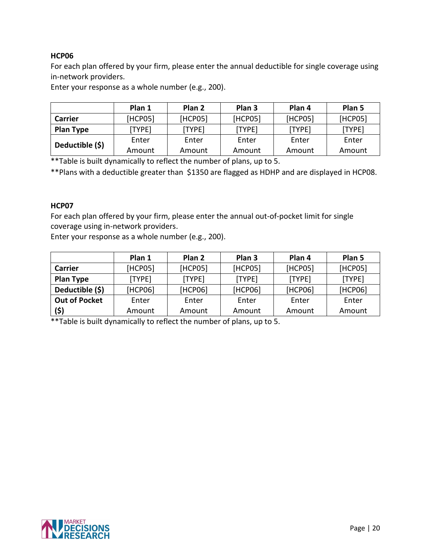# **HCP06**

For each plan offered by your firm, please enter the annual deductible for single coverage using in-network providers.

Enter your response as a whole number (e.g., 200).

|                  | Plan 1      | Plan <sub>2</sub> | Plan <sub>3</sub> | Plan 4  | Plan 5  |
|------------------|-------------|-------------------|-------------------|---------|---------|
| Carrier          | HCP051      | [HCP05]           | [HCP05]           | [HCP05] | [HCP05] |
| <b>Plan Type</b> | <b>TYPE</b> | [TYPE]            | [TYPE]            | [TYPE]  | [TYPE]  |
| Deductible (\$)  | Enter       | Enter             | Enter             | Enter   | Enter   |
|                  | Amount      | Amount            | Amount            | Amount  | Amount  |

\*\*Table is built dynamically to reflect the number of plans, up to 5.

\*\*Plans with a deductible greater than \$1350 are flagged as HDHP and are displayed in HCP08.

#### **HCP07**

For each plan offered by your firm, please enter the annual out-of-pocket limit for single coverage using in-network providers.

Enter your response as a whole number (e.g., 200).

|                      | Plan 1  | Plan <sub>2</sub> | Plan <sub>3</sub> | Plan 4  | Plan 5  |
|----------------------|---------|-------------------|-------------------|---------|---------|
| Carrier              | [HCP05] | [HCP05]           | [HCP05]           | [HCP05] | [HCP05] |
| <b>Plan Type</b>     | [TYPE]  | [TYPE]            | [TYPE]            | [TYPE]  | [TYPE]  |
| Deductible (\$)      | [HCP06] | [HCP06]           | [HCP06]           | [HCP06] | [HCP06] |
| <b>Out of Pocket</b> | Enter   | Enter             | Enter             | Enter   | Enter   |
| (5)                  | Amount  | Amount            | Amount            | Amount  | Amount  |

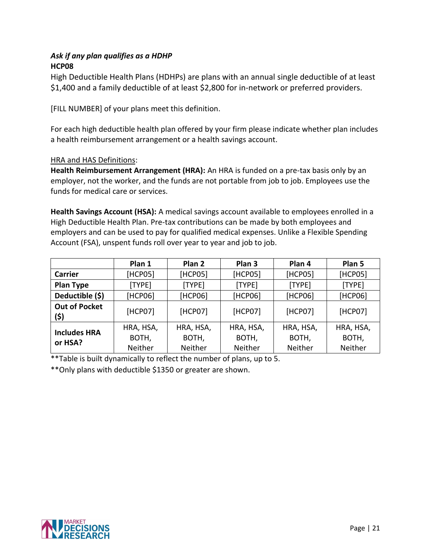# *Ask if any plan qualifies as a HDHP* **HCP08**

High Deductible Health Plans (HDHPs) are plans with an annual single deductible of at least \$1,400 and a family deductible of at least \$2,800 for in-network or preferred providers.

[FILL NUMBER] of your plans meet this definition.

For each high deductible health plan offered by your firm please indicate whether plan includes a health reimbursement arrangement or a health savings account.

# HRA and HAS Definitions:

**Health Reimbursement Arrangement (HRA):** An HRA is funded on a pre-tax basis only by an employer, not the worker, and the funds are not portable from job to job. Employees use the funds for medical care or services.

**Health Savings Account (HSA):** A medical savings account available to employees enrolled in a High Deductible Health Plan. Pre-tax contributions can be made by both employees and employers and can be used to pay for qualified medical expenses. Unlike a Flexible Spending Account (FSA), unspent funds roll over year to year and job to job.

|                              | Plan 1    | Plan <sub>2</sub> | Plan <sub>3</sub> | Plan 4    | Plan 5    |
|------------------------------|-----------|-------------------|-------------------|-----------|-----------|
| <b>Carrier</b>               | [HCP05]   | [HCP05]           | [HCP05]           | [HCP05]   | [HCP05]   |
| <b>Plan Type</b>             | [TYPE]    | [TYPE]            | [TYPE]            | [TYPE]    | [TYPE]    |
| Deductible (\$)              | [HCP06]   | [HCP06]           | [HCP06]           | [HCP06]   | [HCP06]   |
| <b>Out of Pocket</b><br>(\$) | [HCP07]   | [HCP07]           | [HCP07]           | [HCP07]   | [HCP07]   |
| <b>Includes HRA</b>          | HRA, HSA, | HRA, HSA,         | HRA, HSA,         | HRA, HSA, | HRA, HSA, |
| or HSA?                      | BOTH,     | BOTH,             | BOTH,             | BOTH,     | BOTH,     |
|                              | Neither   | Neither           | Neither           | Neither   | Neither   |

\*\*Table is built dynamically to reflect the number of plans, up to 5.

\*\*Only plans with deductible \$1350 or greater are shown.

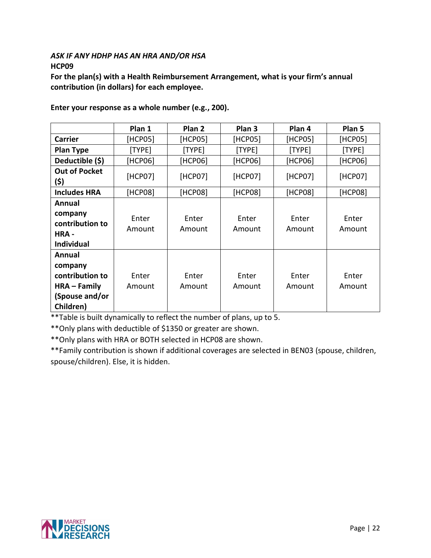### *ASK IF ANY HDHP HAS AN HRA AND/OR HSA* **HCP09**

**For the plan(s) with a Health Reimbursement Arrangement, what is your firm's annual contribution (in dollars) for each employee.**

|                                                                                       | Plan 1          | Plan <sub>2</sub> | Plan 3          | Plan 4          | Plan 5          |
|---------------------------------------------------------------------------------------|-----------------|-------------------|-----------------|-----------------|-----------------|
| <b>Carrier</b>                                                                        | [HCP05]         | [HCP05]           | [HCP05]         | [HCP05]         | [HCP05]         |
| <b>Plan Type</b>                                                                      | [TYPE]          | [TYPE]            | [TYPE]          | [TYPE]          | [TYPE]          |
| Deductible (\$)                                                                       | [HCP06]         | [HCP06]           | [HCP06]         | [HCP06]         | [HCP06]         |
| <b>Out of Pocket</b><br>(\$)                                                          | [HCP07]         | [HCP07]           | [HCP07]         | [HCP07]         | [HCP07]         |
| <b>Includes HRA</b>                                                                   | [HCP08]         | [HCP08]           | [HCP08]         | [HCP08]         | [HCP08]         |
| Annual<br>company<br>contribution to<br>HRA -<br><b>Individual</b>                    | Enter<br>Amount | Enter<br>Amount   | Enter<br>Amount | Enter<br>Amount | Enter<br>Amount |
| Annual<br>company<br>contribution to<br>$HRA - Family$<br>(Spouse and/or<br>Children) | Enter<br>Amount | Enter<br>Amount   | Enter<br>Amount | Enter<br>Amount | Enter<br>Amount |

**Enter your response as a whole number (e.g., 200).**

\*\*Table is built dynamically to reflect the number of plans, up to 5.

\*\*Only plans with deductible of \$1350 or greater are shown.

\*\*Only plans with HRA or BOTH selected in HCP08 are shown.

\*\*Family contribution is shown if additional coverages are selected in BEN03 (spouse, children, spouse/children). Else, it is hidden.

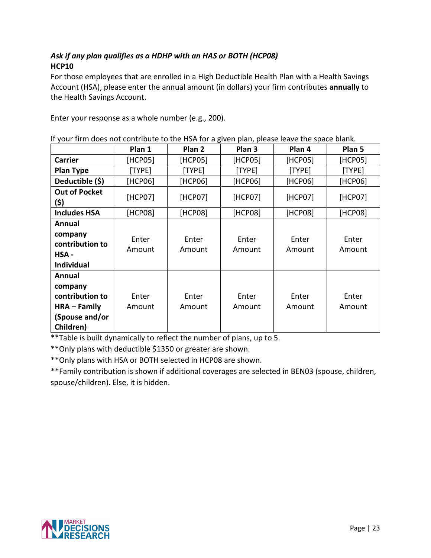# *Ask if any plan qualifies as a HDHP with an HAS or BOTH (HCP08)* **HCP10**

For those employees that are enrolled in a High Deductible Health Plan with a Health Savings Account (HSA), please enter the annual amount (in dollars) your firm contributes **annually** to the Health Savings Account.

Enter your response as a whole number (e.g., 200).

|                                                                                     | Plan 1          | Plan 2          | $\cdot$ .<br>Plan <sub>3</sub> | Plan 4          | Plan 5          |
|-------------------------------------------------------------------------------------|-----------------|-----------------|--------------------------------|-----------------|-----------------|
| <b>Carrier</b>                                                                      | [HCP05]         | [HCP05]         | [HCP05]                        | [HCP05]         | [HCP05]         |
| <b>Plan Type</b>                                                                    | [TYPE]          | [TYPE]          | [TYPE]                         | [TYPE]          | [TYPE]          |
| Deductible (\$)                                                                     | [HCP06]         | [HCP06]         | [HCP06]                        | [HCP06]         | [HCP06]         |
| <b>Out of Pocket</b><br>(\$)                                                        | [HCP07]         | [HCP07]         | [HCP07]                        | [HCP07]         | [HCP07]         |
| <b>Includes HSA</b>                                                                 | [HCP08]         | [HCP08]         | [HCP08]                        | [HCP08]         | [HCP08]         |
| Annual<br>company<br>contribution to<br>HSA -<br><b>Individual</b>                  | Enter<br>Amount | Enter<br>Amount | Enter<br>Amount                | Enter<br>Amount | Enter<br>Amount |
| Annual<br>company<br>contribution to<br>HRA - Family<br>(Spouse and/or<br>Children) | Enter<br>Amount | Enter<br>Amount | Enter<br>Amount                | Enter<br>Amount | Enter<br>Amount |

\*\*Table is built dynamically to reflect the number of plans, up to 5.

\*\*Only plans with deductible \$1350 or greater are shown.

\*\*Only plans with HSA or BOTH selected in HCP08 are shown.

\*\*Family contribution is shown if additional coverages are selected in BEN03 (spouse, children, spouse/children). Else, it is hidden.

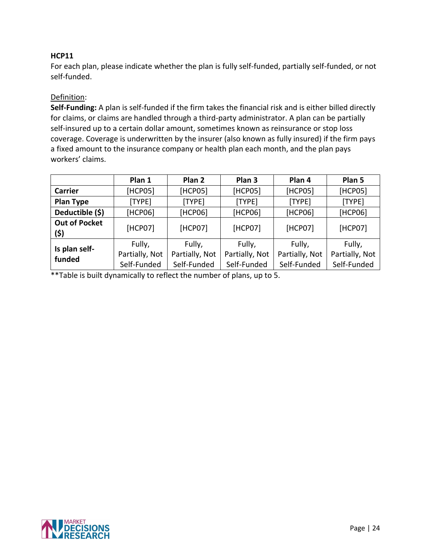### **HCP11**

For each plan, please indicate whether the plan is fully self-funded, partially self-funded, or not self-funded.

#### Definition:

**Self-Funding:** A plan is self-funded if the firm takes the financial risk and is either billed directly for claims, or claims are handled through a third-party administrator. A plan can be partially self-insured up to a certain dollar amount, sometimes known as reinsurance or stop loss coverage. Coverage is underwritten by the insurer (also known as fully insured) if the firm pays a fixed amount to the insurance company or health plan each month, and the plan pays workers' claims.

|                              | Plan 1         | Plan <sub>2</sub> | Plan <sub>3</sub> | Plan 4         | Plan 5         |
|------------------------------|----------------|-------------------|-------------------|----------------|----------------|
| <b>Carrier</b>               | [HCP05]        | [HCP05]           | [HCP05]           | [HCP05]        | [HCP05]        |
| <b>Plan Type</b>             | [TYPE]         | [TYPE]            | [TYPE]            | [TYPE]         | [TYPE]         |
| Deductible (\$)              | [HCP06]        | [HCP06]           | [HCP06]           | [HCP06]        | [HCP06]        |
| <b>Out of Pocket</b><br>(\$) | [HCP07]        | [HCP07]           | [HCP07]           | [HCP07]        | [HCP07]        |
| Is plan self-                | Fully,         | Fully,            | Fully,            | Fully,         | Fully,         |
| funded                       | Partially, Not | Partially, Not    | Partially, Not    | Partially, Not | Partially, Not |
|                              | Self-Funded    | Self-Funded       | Self-Funded       | Self-Funded    | Self-Funded    |

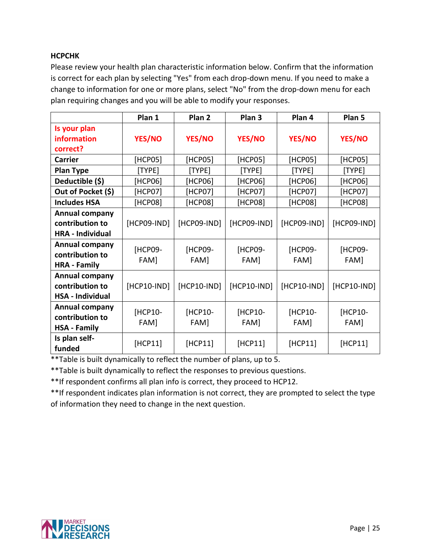# **HCPCHK**

Please review your health plan characteristic information below. Confirm that the information is correct for each plan by selecting "Yes" from each drop-down menu. If you need to make a change to information for one or more plans, select "No" from the drop-down menu for each plan requiring changes and you will be able to modify your responses.

|                         | Plan 1        | Plan <sub>2</sub> | Plan <sub>3</sub> | Plan 4        | Plan 5      |
|-------------------------|---------------|-------------------|-------------------|---------------|-------------|
| Is your plan            |               |                   |                   |               |             |
| information             | <b>YES/NO</b> | <b>YES/NO</b>     | <b>YES/NO</b>     | <b>YES/NO</b> | YES/NO      |
| correct?                |               |                   |                   |               |             |
| <b>Carrier</b>          | [HCP05]       | [HCP05]           | [HCP05]           | [HCP05]       | [HCP05]     |
| <b>Plan Type</b>        | [TYPE]        | [TYPE]            | [TYPE]            | [TYPE]        | [TYPE]      |
| Deductible (\$)         | [HCP06]       | [HCP06]           | [HCP06]           | [HCP06]       | [HCP06]     |
| Out of Pocket (\$)      | [HCP07]       | [HCP07]           | [HCP07]           | [HCP07]       | [HCP07]     |
| <b>Includes HSA</b>     | [HCP08]       | [HCP08]           | [HCP08]           | [HCP08]       | [HCP08]     |
| Annual company          |               |                   |                   |               |             |
| contribution to         | [HCP09-IND]   | [HCP09-IND]       | [HCP09-IND]       | [HCP09-IND]   | [HCP09-IND] |
| <b>HRA</b> - Individual |               |                   |                   |               |             |
| <b>Annual company</b>   | [HCP09-       | [HCP09-           | [HCP09-           | [HCP09-       | [HCP09-     |
| contribution to         | FAM]          | FAM]              | FAM]              | FAM]          | FAM]        |
| <b>HRA - Family</b>     |               |                   |                   |               |             |
| <b>Annual company</b>   |               |                   |                   |               |             |
| contribution to         | $[HCP10-IND]$ | $[HCP10-IND]$     | [HCP10-IND]       | [HCP10-IND]   | [HCP10-IND] |
| <b>HSA - Individual</b> |               |                   |                   |               |             |
| Annual company          | [HCP10-       | [HCP10-           | [HCP10-           | [HCP10-       | [HCP10-     |
| contribution to         | FAM]          | FAM]              | FAM]              | FAM]          | FAM]        |
| <b>HSA - Family</b>     |               |                   |                   |               |             |
| Is plan self-           | [HCP11]       | [HCP11]           | [HCP11]           | [HCP11]       | [HCP11]     |
| funded                  |               |                   |                   |               |             |

\*\*Table is built dynamically to reflect the number of plans, up to 5.

\*\*Table is built dynamically to reflect the responses to previous questions.

\*\*If respondent confirms all plan info is correct, they proceed to HCP12.

\*\*If respondent indicates plan information is not correct, they are prompted to select the type of information they need to change in the next question.

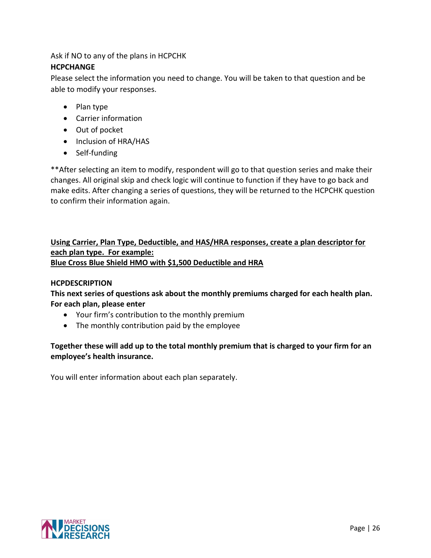# Ask if NO to any of the plans in HCPCHK

# **HCPCHANGE**

Please select the information you need to change. You will be taken to that question and be able to modify your responses.

- Plan type
- Carrier information
- Out of pocket
- Inclusion of HRA/HAS
- Self-funding

\*\*After selecting an item to modify, respondent will go to that question series and make their changes. All original skip and check logic will continue to function if they have to go back and make edits. After changing a series of questions, they will be returned to the HCPCHK question to confirm their information again.

# **Using Carrier, Plan Type, Deductible, and HAS/HRA responses, create a plan descriptor for each plan type. For example: Blue Cross Blue Shield HMO with \$1,500 Deductible and HRA**

### **HCPDESCRIPTION**

**This next series of questions ask about the monthly premiums charged for each health plan. For each plan, please enter** 

- Your firm's contribution to the monthly premium
- The monthly contribution paid by the employee

# **Together these will add up to the total monthly premium that is charged to your firm for an employee's health insurance.**

You will enter information about each plan separately.

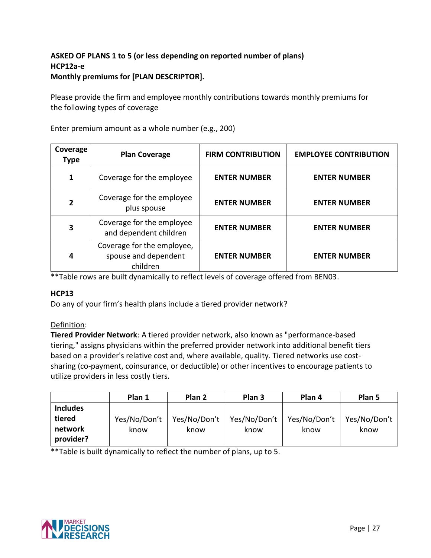# **ASKED OF PLANS 1 to 5 (or less depending on reported number of plans) HCP12a-e Monthly premiums for [PLAN DESCRIPTOR].**

Please provide the firm and employee monthly contributions towards monthly premiums for the following types of coverage

| Coverage<br><b>Type</b> | <b>Plan Coverage</b>                                           | <b>FIRM CONTRIBUTION</b> | <b>EMPLOYEE CONTRIBUTION</b> |
|-------------------------|----------------------------------------------------------------|--------------------------|------------------------------|
| 1                       | Coverage for the employee                                      | <b>ENTER NUMBER</b>      | <b>ENTER NUMBER</b>          |
| $\overline{2}$          | Coverage for the employee<br>plus spouse                       | <b>ENTER NUMBER</b>      | <b>ENTER NUMBER</b>          |
| 3                       | Coverage for the employee<br>and dependent children            | <b>ENTER NUMBER</b>      | <b>ENTER NUMBER</b>          |
| 4                       | Coverage for the employee,<br>spouse and dependent<br>children | <b>ENTER NUMBER</b>      | <b>ENTER NUMBER</b>          |

Enter premium amount as a whole number (e.g., 200)

\*\*Table rows are built dynamically to reflect levels of coverage offered from BEN03.

#### **HCP13**

Do any of your firm's health plans include a tiered provider network?

# Definition:

**Tiered Provider Network**: A tiered provider network, also known as "performance-based tiering," assigns physicians within the preferred provider network into additional benefit tiers based on a provider's relative cost and, where available, quality. Tiered networks use costsharing (co-payment, coinsurance, or deductible) or other incentives to encourage patients to utilize providers in less costly tiers.

|                 | Plan 1       | Plan 2       | Plan 3       | Plan 4       | Plan 5       |
|-----------------|--------------|--------------|--------------|--------------|--------------|
| <b>Includes</b> |              |              |              |              |              |
| tiered          | Yes/No/Don't | Yes/No/Don't | Yes/No/Don't | Yes/No/Don't | Yes/No/Don't |
| network         | know         | know         | know         | know         | know         |
| provider?       |              |              |              |              |              |

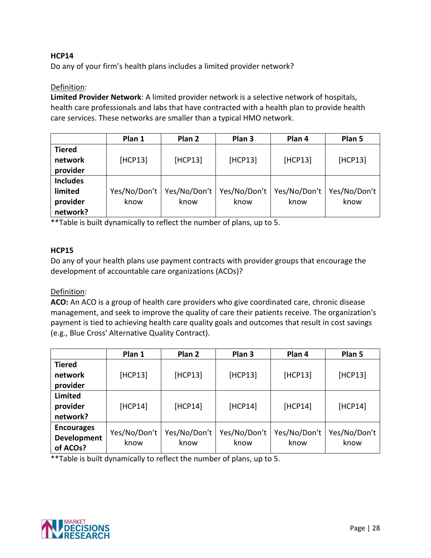# **HCP14**

Do any of your firm's health plans includes a limited provider network?

#### Definition:

**Limited Provider Network**: A limited provider network is a selective network of hospitals, health care professionals and labs that have contracted with a health plan to provide health care services. These networks are smaller than a typical HMO network.

|                 | Plan 1       | Plan 2       | Plan <sub>3</sub> | Plan 4       | Plan 5       |
|-----------------|--------------|--------------|-------------------|--------------|--------------|
| <b>Tiered</b>   |              |              |                   |              |              |
| network         | [HCP13]      | [HCP13]      | [HCP13]           | [HCP13]      | [HCP13]      |
| provider        |              |              |                   |              |              |
| <b>Includes</b> |              |              |                   |              |              |
| limited         | Yes/No/Don't | Yes/No/Don't | Yes/No/Don't      | Yes/No/Don't | Yes/No/Don't |
| provider        | know         | know         | know              | know         | know         |
| network?        |              |              |                   |              |              |

\*\*Table is built dynamically to reflect the number of plans, up to 5.

#### **HCP15**

Do any of your health plans use payment contracts with provider groups that encourage the development of accountable care organizations (ACOs)?

#### Definition:

**ACO:** An ACO is a group of health care providers who give coordinated care, chronic disease management, and seek to improve the quality of care their patients receive. The organization's payment is tied to achieving health care quality goals and outcomes that result in cost savings (e.g., Blue Cross' Alternative Quality Contract).

|                   | Plan 1       | Plan 2       | Plan <sub>3</sub> | Plan 4       | Plan 5       |
|-------------------|--------------|--------------|-------------------|--------------|--------------|
| <b>Tiered</b>     |              |              |                   |              |              |
| network           | [HCP13]      | [HCP13]      | [HCP13]           | [HCP13]      | [HCP13]      |
| provider          |              |              |                   |              |              |
| Limited           |              |              |                   |              |              |
| provider          | [HCP14]      | [HCP14]      | [HCP14]           | [HCP14]      | [HCP14]      |
| network?          |              |              |                   |              |              |
| <b>Encourages</b> | Yes/No/Don't | Yes/No/Don't | Yes/No/Don't      | Yes/No/Don't | Yes/No/Don't |
| Development       |              |              |                   |              |              |
| of ACOs?          | know         | know         | know              | know         | know         |

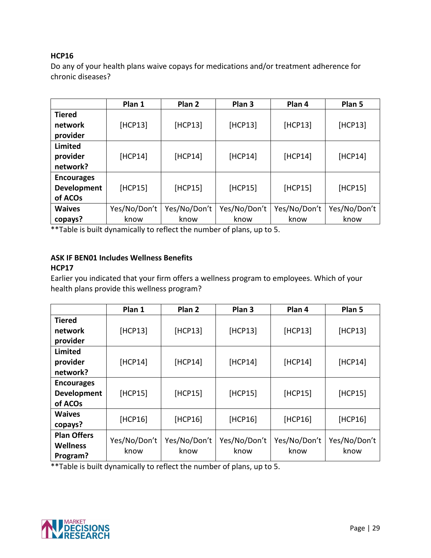### **HCP16**

Do any of your health plans waive copays for medications and/or treatment adherence for chronic diseases?

|                    | Plan 1       | Plan <sub>2</sub> | Plan <sub>3</sub> | Plan 4       | Plan 5       |
|--------------------|--------------|-------------------|-------------------|--------------|--------------|
| <b>Tiered</b>      |              |                   |                   |              |              |
| network            | [HCP13]      | [HCP13]           | [HCP13]           | [HCP13]      | [HCP13]      |
| provider           |              |                   |                   |              |              |
| <b>Limited</b>     |              |                   |                   |              |              |
| provider           | [HCP14]      | [HCP14]           | [HCP14]           | [HCP14]      | [HCP14]      |
| network?           |              |                   |                   |              |              |
| <b>Encourages</b>  |              |                   |                   |              |              |
| <b>Development</b> | [HCP15]      | [HCP15]           | [HCP15]           | [HCP15]      | [HCP15]      |
| of ACOs            |              |                   |                   |              |              |
| <b>Waives</b>      | Yes/No/Don't | Yes/No/Don't      | Yes/No/Don't      | Yes/No/Don't | Yes/No/Don't |
| copays?            | know         | know              | know              | know         | know         |

\*\*Table is built dynamically to reflect the number of plans, up to 5.

# **ASK IF BEN01 Includes Wellness Benefits**

#### **HCP17**

Earlier you indicated that your firm offers a wellness program to employees. Which of your health plans provide this wellness program?

|                    | Plan 1       | Plan 2       | Plan <sub>3</sub> | Plan 4       | Plan 5       |
|--------------------|--------------|--------------|-------------------|--------------|--------------|
| <b>Tiered</b>      |              |              |                   |              |              |
| network            | [HCP13]      | [HCP13]      | [HCP13]           | [HCP13]      | [HCP13]      |
| provider           |              |              |                   |              |              |
| Limited            |              |              |                   |              |              |
| provider           | [HCP14]      | [HCP14]      | [HCP14]           | [HCP14]      | [HCP14]      |
| network?           |              |              |                   |              |              |
| <b>Encourages</b>  |              |              |                   |              |              |
| Development        | [HCP15]      | [HCP15]      | [HCP15]           | [HCP15]      | [HCP15]      |
| of ACOs            |              |              |                   |              |              |
| <b>Waives</b>      | [HCP16]      | [HCP16]      | [HCP16]           | [HCP16]      | [HCP16]      |
| copays?            |              |              |                   |              |              |
| <b>Plan Offers</b> | Yes/No/Don't | Yes/No/Don't | Yes/No/Don't      | Yes/No/Don't | Yes/No/Don't |
| <b>Wellness</b>    | know         | know         | know              | know         | know         |
| Program?           |              |              |                   |              |              |

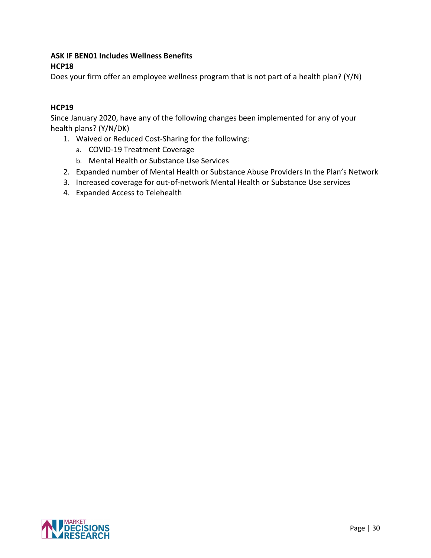# **ASK IF BEN01 Includes Wellness Benefits HCP18**

Does your firm offer an employee wellness program that is not part of a health plan? (Y/N)

# **HCP19**

Since January 2020, have any of the following changes been implemented for any of your health plans? (Y/N/DK)

- 1. Waived or Reduced Cost-Sharing for the following:
	- a. COVID-19 Treatment Coverage
	- b. Mental Health or Substance Use Services
- 2. Expanded number of Mental Health or Substance Abuse Providers In the Plan's Network
- 3. Increased coverage for out-of-network Mental Health or Substance Use services
- 4. Expanded Access to Telehealth

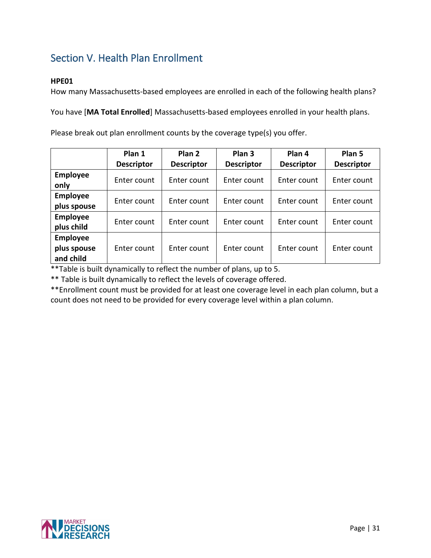# <span id="page-32-0"></span>Section V. Health Plan Enrollment

# **HPE01**

How many Massachusetts-based employees are enrolled in each of the following health plans?

You have [**MA Total Enrolled**] Massachusetts-based employees enrolled in your health plans.

Please break out plan enrollment counts by the coverage type(s) you offer.

|                 | Plan 1            | Plan <sub>2</sub> | Plan <sub>3</sub> | Plan 4            | Plan <sub>5</sub> |
|-----------------|-------------------|-------------------|-------------------|-------------------|-------------------|
|                 | <b>Descriptor</b> | <b>Descriptor</b> | <b>Descriptor</b> | <b>Descriptor</b> | <b>Descriptor</b> |
| <b>Employee</b> | Enter count       | Enter count       | Enter count       | Enter count       | Enter count       |
| only            |                   |                   |                   |                   |                   |
| <b>Employee</b> | Enter count       | Enter count       | Enter count       | Enter count       | Enter count       |
| plus spouse     |                   |                   |                   |                   |                   |
| <b>Employee</b> | Enter count       | Enter count       | Enter count       | Enter count       | Enter count       |
| plus child      |                   |                   |                   |                   |                   |
| <b>Employee</b> |                   |                   |                   |                   |                   |
| plus spouse     | Enter count       | Enter count       | Enter count       | Enter count       | Enter count       |
| and child       |                   |                   |                   |                   |                   |

\*\*Table is built dynamically to reflect the number of plans, up to 5.

\*\* Table is built dynamically to reflect the levels of coverage offered.

\*\*Enrollment count must be provided for at least one coverage level in each plan column, but a count does not need to be provided for every coverage level within a plan column.

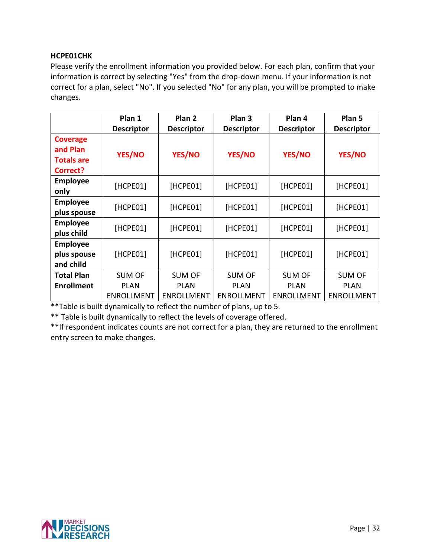# **HCPE01CHK**

Please verify the enrollment information you provided below. For each plan, confirm that your information is correct by selecting "Yes" from the drop-down menu. If your information is not correct for a plan, select "No". If you selected "No" for any plan, you will be prompted to make changes.

|                                                              | Plan 1<br><b>Descriptor</b> | Plan <sub>2</sub><br><b>Descriptor</b> | Plan <sub>3</sub><br><b>Descriptor</b> | Plan 4<br><b>Descriptor</b> | Plan 5<br><b>Descriptor</b> |
|--------------------------------------------------------------|-----------------------------|----------------------------------------|----------------------------------------|-----------------------------|-----------------------------|
| <b>Coverage</b><br>and Plan<br><b>Totals are</b><br>Correct? | YES/NO                      | <b>YES/NO</b>                          | <b>YES/NO</b>                          | YES/NO                      | YES/NO                      |
| <b>Employee</b><br>only                                      | [HCPE01]                    | [HCPE01]                               | [HCPE01]                               | [HCPE01]                    | [HCPE01]                    |
| <b>Employee</b><br>plus spouse                               | [HCPE01]                    | [HCPE01]                               | [HCPE01]                               | [HCPE01]                    | [HCPE01]                    |
| <b>Employee</b><br>plus child                                | [HCPE01]                    | [HCPE01]                               | [HCPE01]                               | [HCPE01]                    | [HCPE01]                    |
| <b>Employee</b><br>plus spouse<br>and child                  | [HCPE01]                    | [HCPE01]                               | [HCPE01]                               | [HCPE01]                    | [HCPE01]                    |
| <b>Total Plan</b>                                            | <b>SUM OF</b>               | <b>SUM OF</b>                          | <b>SUM OF</b>                          | <b>SUM OF</b>               | <b>SUM OF</b>               |
| <b>Enrollment</b>                                            | <b>PLAN</b>                 | <b>PLAN</b>                            | <b>PLAN</b>                            | <b>PLAN</b>                 | <b>PLAN</b>                 |
|                                                              | <b>ENROLLMENT</b>           | <b>ENROLLMENT</b>                      | <b>ENROLLMENT</b>                      | <b>ENROLLMENT</b>           | <b>ENROLLMENT</b>           |

\*\*Table is built dynamically to reflect the number of plans, up to 5.

\*\* Table is built dynamically to reflect the levels of coverage offered.

\*\*If respondent indicates counts are not correct for a plan, they are returned to the enrollment entry screen to make changes.

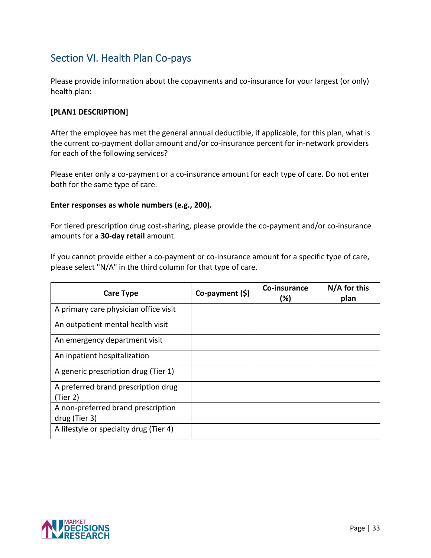# <span id="page-34-0"></span>Section VI. Health Plan Co-pays

Please provide information about the copayments and co-insurance for your largest (or only) health plan:

# **[PLAN1 DESCRIPTION]**

After the employee has met the general annual deductible, if applicable, for this plan, what is the current co-payment dollar amount and/or co-insurance percent for in-network providers for each of the following services?

Please enter only a co-payment or a co-insurance amount for each type of care. Do not enter both for the same type of care.

#### **Enter responses as whole numbers (e.g., 200).**

For tiered prescription drug cost-sharing, please provide the co-payment and/or co-insurance amounts for a **30-day retail** amount.

If you cannot provide either a co-payment or co-insurance amount for a specific type of care, please select "N/A" in the third column for that type of care.

| <b>Care Type</b>                       | Co-payment (\$) | Co-insurance<br>(%) | N/A for this<br>plan |
|----------------------------------------|-----------------|---------------------|----------------------|
| A primary care physician office visit  |                 |                     |                      |
| An outpatient mental health visit      |                 |                     |                      |
| An emergency department visit          |                 |                     |                      |
| An inpatient hospitalization           |                 |                     |                      |
| A generic prescription drug (Tier 1)   |                 |                     |                      |
| A preferred brand prescription drug    |                 |                     |                      |
| (Tier 2)                               |                 |                     |                      |
| A non-preferred brand prescription     |                 |                     |                      |
| drug (Tier 3)                          |                 |                     |                      |
| A lifestyle or specialty drug (Tier 4) |                 |                     |                      |

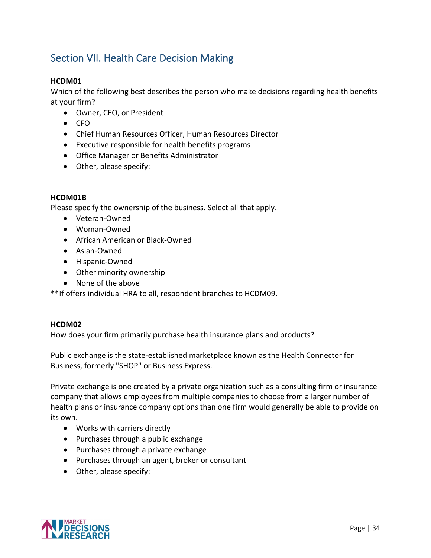# <span id="page-35-0"></span>Section VII. Health Care Decision Making

# **HCDM01**

Which of the following best describes the person who make decisions regarding health benefits at your firm?

- Owner, CEO, or President
- CFO
- Chief Human Resources Officer, Human Resources Director
- Executive responsible for health benefits programs
- Office Manager or Benefits Administrator
- Other, please specify:

#### **HCDM01B**

Please specify the ownership of the business. Select all that apply.

- Veteran-Owned
- Woman-Owned
- African American or Black-Owned
- Asian-Owned
- Hispanic-Owned
- Other minority ownership
- None of the above

\*\*If offers individual HRA to all, respondent branches to HCDM09.

#### **HCDM02**

How does your firm primarily purchase health insurance plans and products?

Public exchange is the state-established marketplace known as the Health Connector for Business, formerly "SHOP" or Business Express.

Private exchange is one created by a private organization such as a consulting firm or insurance company that allows employees from multiple companies to choose from a larger number of health plans or insurance company options than one firm would generally be able to provide on its own.

- Works with carriers directly
- Purchases through a public exchange
- Purchases through a private exchange
- Purchases through an agent, broker or consultant
- Other, please specify:

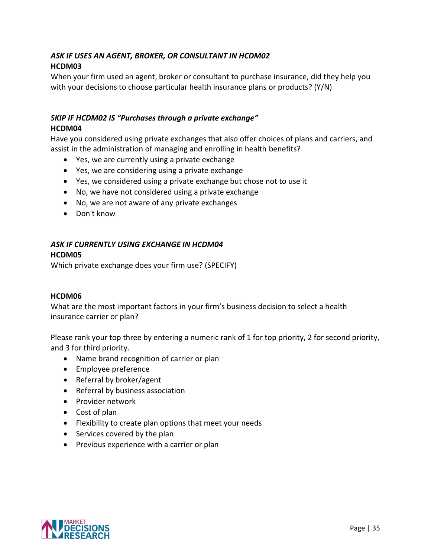# *ASK IF USES AN AGENT, BROKER, OR CONSULTANT IN HCDM02* **HCDM03**

When your firm used an agent, broker or consultant to purchase insurance, did they help you with your decisions to choose particular health insurance plans or products? (Y/N)

# *SKIP IF HCDM02 IS "Purchases through a private exchange"* **HCDM04**

Have you considered using private exchanges that also offer choices of plans and carriers, and assist in the administration of managing and enrolling in health benefits?

- Yes, we are currently using a private exchange
- Yes, we are considering using a private exchange
- Yes, we considered using a private exchange but chose not to use it
- No, we have not considered using a private exchange
- No, we are not aware of any private exchanges
- Don't know

#### *ASK IF CURRENTLY USING EXCHANGE IN HCDM04* **HCDM05**

Which private exchange does your firm use? (SPECIFY)

#### **HCDM06**

What are the most important factors in your firm's business decision to select a health insurance carrier or plan?

Please rank your top three by entering a numeric rank of 1 for top priority, 2 for second priority, and 3 for third priority.

- Name brand recognition of carrier or plan
- Employee preference
- Referral by broker/agent
- Referral by business association
- Provider network
- Cost of plan
- Flexibility to create plan options that meet your needs
- Services covered by the plan
- Previous experience with a carrier or plan

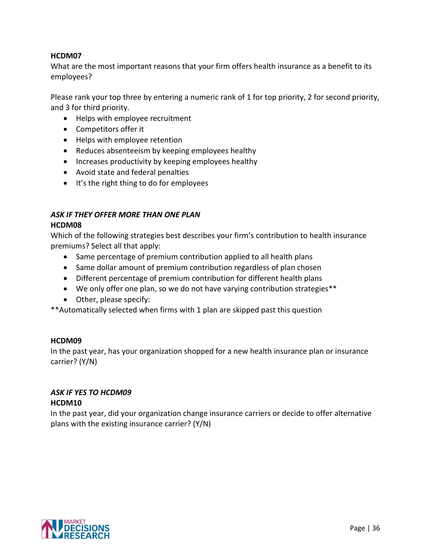#### **HCDM07**

What are the most important reasons that your firm offers health insurance as a benefit to its employees?

Please rank your top three by entering a numeric rank of 1 for top priority, 2 for second priority, and 3 for third priority.

- Helps with employee recruitment
- Competitors offer it
- Helps with employee retention
- Reduces absenteeism by keeping employees healthy
- Increases productivity by keeping employees healthy
- Avoid state and federal penalties
- It's the right thing to do for employees

#### *ASK IF THEY OFFER MORE THAN ONE PLAN* **HCDM08**

Which of the following strategies best describes your firm's contribution to health insurance premiums? Select all that apply:

- Same percentage of premium contribution applied to all health plans
- Same dollar amount of premium contribution regardless of plan chosen
- Different percentage of premium contribution for different health plans
- We only offer one plan, so we do not have varying contribution strategies\*\*
- Other, please specify:

\*\*Automatically selected when firms with 1 plan are skipped past this question

# **HCDM09**

In the past year, has your organization shopped for a new health insurance plan or insurance carrier? (Y/N)

# *ASK IF YES TO HCDM09*

#### **HCDM10**

In the past year, did your organization change insurance carriers or decide to offer alternative plans with the existing insurance carrier? (Y/N)

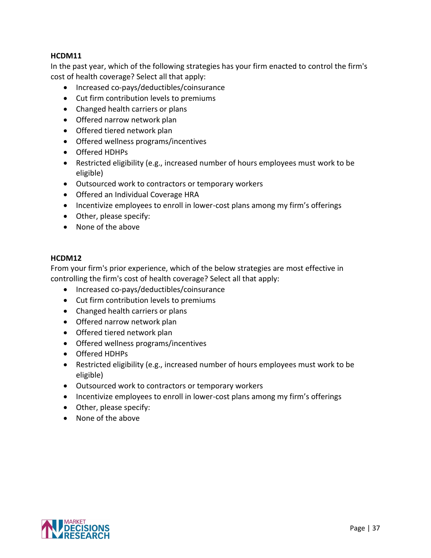### **HCDM11**

In the past year, which of the following strategies has your firm enacted to control the firm's cost of health coverage? Select all that apply:

- Increased co-pays/deductibles/coinsurance
- Cut firm contribution levels to premiums
- Changed health carriers or plans
- Offered narrow network plan
- Offered tiered network plan
- Offered wellness programs/incentives
- Offered HDHPs
- Restricted eligibility (e.g., increased number of hours employees must work to be eligible)
- Outsourced work to contractors or temporary workers
- Offered an Individual Coverage HRA
- Incentivize employees to enroll in lower-cost plans among my firm's offerings
- Other, please specify:
- None of the above

#### **HCDM12**

From your firm's prior experience, which of the below strategies are most effective in controlling the firm's cost of health coverage? Select all that apply:

- Increased co-pays/deductibles/coinsurance
- Cut firm contribution levels to premiums
- Changed health carriers or plans
- Offered narrow network plan
- Offered tiered network plan
- Offered wellness programs/incentives
- Offered HDHPs
- Restricted eligibility (e.g., increased number of hours employees must work to be eligible)
- Outsourced work to contractors or temporary workers
- Incentivize employees to enroll in lower-cost plans among my firm's offerings
- Other, please specify:
- None of the above

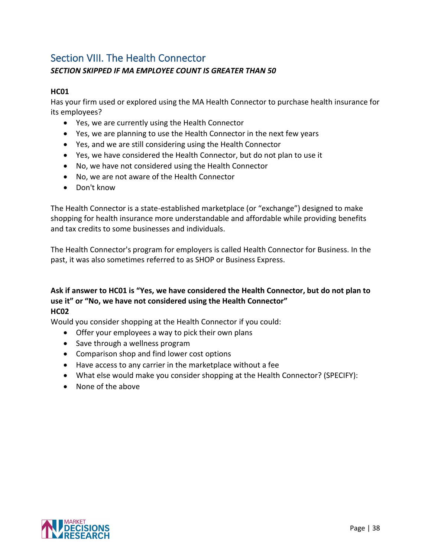# <span id="page-39-0"></span>Section VIII. The Health Connector

# *SECTION SKIPPED IF MA EMPLOYEE COUNT IS GREATER THAN 50*

# **HC01**

Has your firm used or explored using the MA Health Connector to purchase health insurance for its employees?

- Yes, we are currently using the Health Connector
- Yes, we are planning to use the Health Connector in the next few years
- Yes, and we are still considering using the Health Connector
- Yes, we have considered the Health Connector, but do not plan to use it
- No, we have not considered using the Health Connector
- No, we are not aware of the Health Connector
- Don't know

The Health Connector is a state-established marketplace (or "exchange") designed to make shopping for health insurance more understandable and affordable while providing benefits and tax credits to some businesses and individuals.

The Health Connector's program for employers is called Health Connector for Business. In the past, it was also sometimes referred to as SHOP or Business Express.

#### **Ask if answer to HC01 is "Yes, we have considered the Health Connector, but do not plan to use it" or "No, we have not considered using the Health Connector" HC02**

Would you consider shopping at the Health Connector if you could:

- Offer your employees a way to pick their own plans
- Save through a wellness program
- Comparison shop and find lower cost options
- Have access to any carrier in the marketplace without a fee
- What else would make you consider shopping at the Health Connector? (SPECIFY):
- None of the above

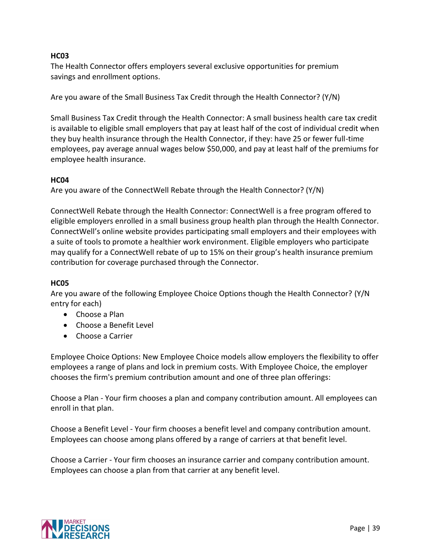### **HC03**

The Health Connector offers employers several exclusive opportunities for premium savings and enrollment options.

Are you aware of the Small Business Tax Credit through the Health Connector? (Y/N)

Small Business Tax Credit through the Health Connector: A small business health care tax credit is available to eligible small employers that pay at least half of the cost of individual credit when they buy health insurance through the Health Connector, if they: have 25 or fewer full-time employees, pay average annual wages below \$50,000, and pay at least half of the premiums for employee health insurance.

#### **HC04**

Are you aware of the ConnectWell Rebate through the Health Connector? (Y/N)

ConnectWell Rebate through the Health Connector: ConnectWell is a free program offered to eligible employers enrolled in a small business group health plan through the Health Connector. ConnectWell's online website provides participating small employers and their employees with a suite of tools to promote a healthier work environment. Eligible employers who participate may qualify for a ConnectWell rebate of up to 15% on their group's health insurance premium contribution for coverage purchased through the Connector.

#### **HC05**

Are you aware of the following Employee Choice Options though the Health Connector? (Y/N entry for each)

- Choose a Plan
- Choose a Benefit Level
- Choose a Carrier

Employee Choice Options: New Employee Choice models allow employers the flexibility to offer employees a range of plans and lock in premium costs. With Employee Choice, the employer chooses the firm's premium contribution amount and one of three plan offerings:

Choose a Plan - Your firm chooses a plan and company contribution amount. All employees can enroll in that plan.

Choose a Benefit Level - Your firm chooses a benefit level and company contribution amount. Employees can choose among plans offered by a range of carriers at that benefit level.

Choose a Carrier - Your firm chooses an insurance carrier and company contribution amount. Employees can choose a plan from that carrier at any benefit level.

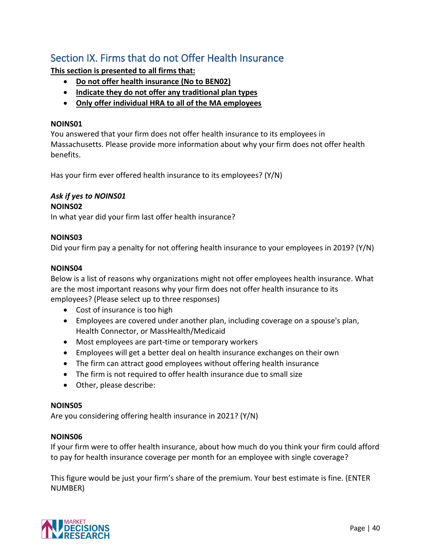# <span id="page-41-0"></span>Section IX. Firms that do not Offer Health Insurance

**This section is presented to all firms that:**

- **Do not offer health insurance (No to BEN02)**
- **Indicate they do not offer any traditional plan types**
- **Only offer individual HRA to all of the MA employees**

#### **NOINS01**

You answered that your firm does not offer health insurance to its employees in Massachusetts. Please provide more information about why your firm does not offer health benefits.

Has your firm ever offered health insurance to its employees? (Y/N)

# *Ask if yes to NOINS01*

#### **NOINS02**

In what year did your firm last offer health insurance?

#### **NOINS03**

Did your firm pay a penalty for not offering health insurance to your employees in 2019? (Y/N)

#### **NOINS04**

Below is a list of reasons why organizations might not offer employees health insurance. What are the most important reasons why your firm does not offer health insurance to its employees? (Please select up to three responses)

- Cost of insurance is too high
- Employees are covered under another plan, including coverage on a spouse's plan, Health Connector, or MassHealth/Medicaid
- Most employees are part-time or temporary workers
- Employees will get a better deal on health insurance exchanges on their own
- The firm can attract good employees without offering health insurance
- The firm is not required to offer health insurance due to small size
- Other, please describe:

#### **NOINS05**

Are you considering offering health insurance in 2021? (Y/N)

#### **NOINS06**

If your firm were to offer health insurance, about how much do you think your firm could afford to pay for health insurance coverage per month for an employee with single coverage?

This figure would be just your firm's share of the premium. Your best estimate is fine. (ENTER NUMBER)

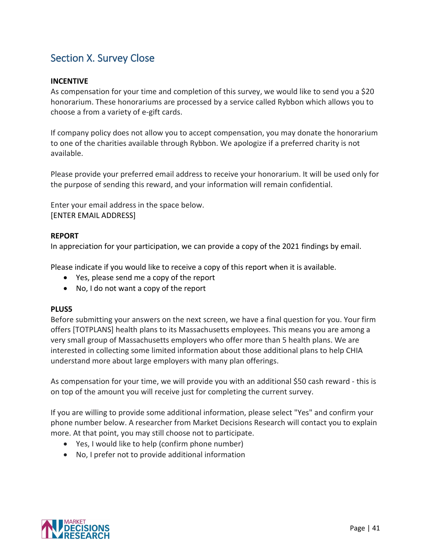# Section X. Survey Close

#### **INCENTIVE**

As compensation for your time and completion of this survey, we would like to send you a \$20 honorarium. These honorariums are processed by a service called Rybbon which allows you to choose a from a variety of e-gift cards.

If company policy does not allow you to accept compensation, you may donate the honorarium to one of the charities available through Rybbon. We apologize if a preferred charity is not available.

Please provide your preferred email address to receive your honorarium. It will be used only for the purpose of sending this reward, and your information will remain confidential.

Enter your email address in the space below. [ENTER EMAIL ADDRESS]

#### **REPORT**

In appreciation for your participation, we can provide a copy of the 2021 findings by email.

Please indicate if you would like to receive a copy of this report when it is available.

- Yes, please send me a copy of the report
- No, I do not want a copy of the report

#### **PLUS5**

Before submitting your answers on the next screen, we have a final question for you. Your firm offers [TOTPLANS] health plans to its Massachusetts employees. This means you are among a very small group of Massachusetts employers who offer more than 5 health plans. We are interested in collecting some limited information about those additional plans to help CHIA understand more about large employers with many plan offerings.

As compensation for your time, we will provide you with an additional \$50 cash reward - this is on top of the amount you will receive just for completing the current survey.

If you are willing to provide some additional information, please select "Yes" and confirm your phone number below. A researcher from Market Decisions Research will contact you to explain more. At that point, you may still choose not to participate.

- Yes, I would like to help (confirm phone number)
- No, I prefer not to provide additional information